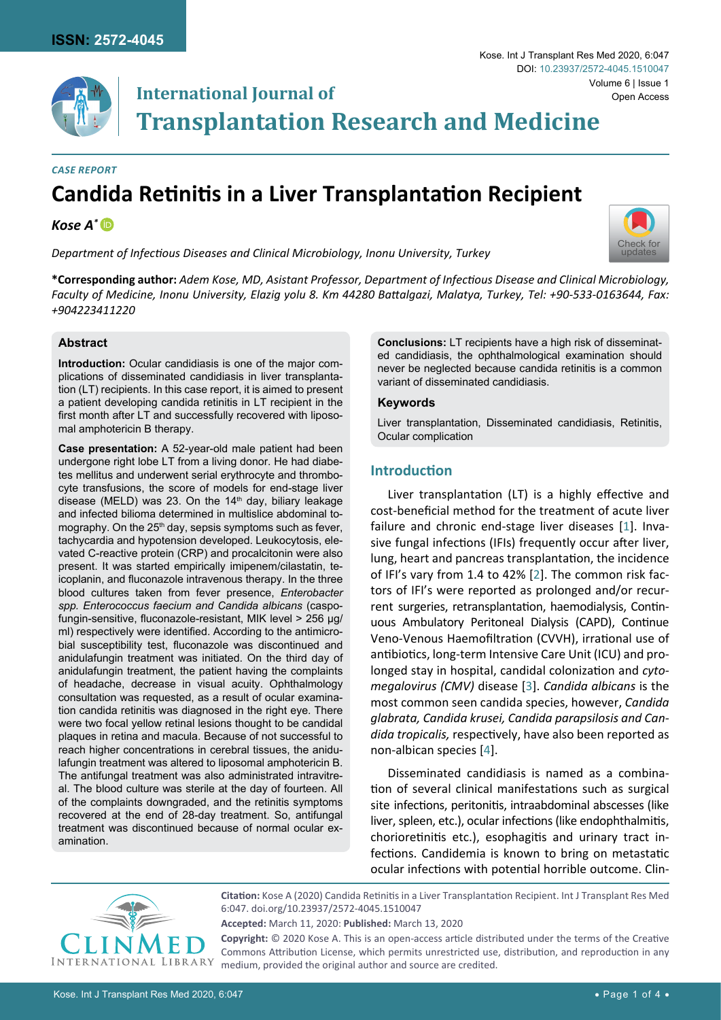

## **International Journal of Transplantation Research and Medicine**

#### *Case Report*

# **Candida Retinitis in a Liver Transplantation Recipient**

## *Kose A[\\*](https://orcid.org/0000-0002-1853-1243)*

*Department of Infectious Diseases and Clinical Microbiology, Inonu University, Turkey*



**\*Corresponding author:** *Adem Kose, MD, Asistant Professor, Department of Infectious Disease and Clinical Microbiology, Faculty of Medicine, Inonu University, Elazig yolu 8. Km 44280 Battalgazi, Malatya, Turkey, Tel: +90-533-0163644, Fax: +904223411220* 

#### **Abstract**

**Introduction:** Ocular candidiasis is one of the major complications of disseminated candidiasis in liver transplantation (LT) recipients. In this case report, it is aimed to present a patient developing candida retinitis in LT recipient in the first month after LT and successfully recovered with liposomal amphotericin B therapy.

**Case presentation:** A 52-year-old male patient had been undergone right lobe LT from a living donor. He had diabetes mellitus and underwent serial erythrocyte and thrombocyte transfusions, the score of models for end-stage liver disease (MELD) was 23. On the 14<sup>th</sup> day, biliary leakage and infected bilioma determined in multislice abdominal tomography. On the 25<sup>th</sup> day, sepsis symptoms such as fever, tachycardia and hypotension developed. Leukocytosis, elevated C-reactive protein (CRP) and procalcitonin were also present. It was started empirically imipenem/cilastatin, teicoplanin, and fluconazole intravenous therapy. In the three blood cultures taken from fever presence, *Enterobacter spp. Enterococcus faecium and Candida albicans* (caspofungin-sensitive, fluconazole-resistant, MIK level > 256 µg/ ml) respectively were identified. According to the antimicrobial susceptibility test, fluconazole was discontinued and anidulafungin treatment was initiated. On the third day of anidulafungin treatment, the patient having the complaints of headache, decrease in visual acuity. Ophthalmology consultation was requested, as a result of ocular examination candida retinitis was diagnosed in the right eye. There were two focal yellow retinal lesions thought to be candidal plaques in retina and macula. Because of not successful to reach higher concentrations in cerebral tissues, the anidulafungin treatment was altered to liposomal amphotericin B. The antifungal treatment was also administrated intravitreal. The blood culture was sterile at the day of fourteen. All of the complaints downgraded, and the retinitis symptoms recovered at the end of 28-day treatment. So, antifungal treatment was discontinued because of normal ocular examination.

**Conclusions:** LT recipients have a high risk of disseminated candidiasis, the ophthalmological examination should never be neglected because candida retinitis is a common variant of disseminated candidiasis.

#### **Keywords**

Liver transplantation, Disseminated candidiasis, Retinitis, Ocular complication

### **Introduction**

Liver transplantation (LT) is a highly effective and cost-beneficial method for the treatment of acute liver failure and chronic end-stage liver diseases [[1](#page-3-0)]. Invasive fungal infections (IFIs) frequently occur after liver, lung, heart and pancreas transplantation, the incidence of IFI's vary from 1.4 to 42% [[2](#page-3-1)]. The common risk factors of IFI's were reported as prolonged and/or recurrent surgeries, retransplantation, haemodialysis, Continuous Ambulatory Peritoneal Dialysis (CAPD), Continue Veno-Venous Haemofiltration (CVVH), irrational use of antibiotics, long-term Intensive Care Unit (ICU) and prolonged stay in hospital, candidal colonization and *cytomegalovirus (CMV)* disease [\[3\]](#page-3-2). *Candida albicans* is the most common seen candida species, however, *Candida glabrata, Candida krusei, Candida parapsilosis and Candida tropicalis,* respectively, have also been reported as non-albican species [[4](#page-3-3)].

Disseminated candidiasis is named as a combination of several clinical manifestations such as surgical site infections, peritonitis, intraabdominal abscesses (like liver, spleen, etc.), ocular infections (like endophthalmitis, chorioretinitis etc.), esophagitis and urinary tract infections. Candidemia is known to bring on metastatic ocular infections with potential horrible outcome. Clin-



**Citation:** Kose A (2020) Candida Retinitis in a Liver Transplantation Recipient. Int J Transplant Res Med 6:047. [doi.org/10.23937/2572-4045.1510047](https://doi.org/10.23937/2572-4045.1510047)

**Copyright:** © 2020 Kose A. This is an open-access article distributed under the terms of the Creative Commons Attribution License, which permits unrestricted use, distribution, and reproduction in any medium, provided the original author and source are credited.

**Accepted:** March 11, 2020: **Published:** March 13, 2020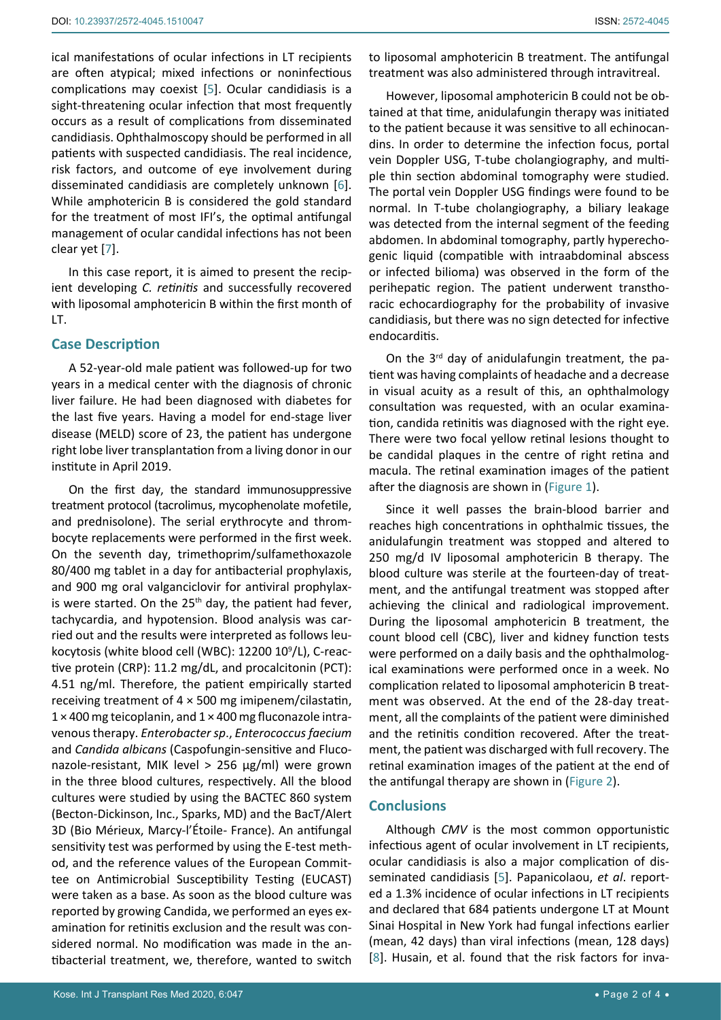ical manifestations of ocular infections in LT recipients are often atypical; mixed infections or noninfectious complications may coexist [\[5\]](#page-3-4). Ocular candidiasis is a sight-threatening ocular infection that most frequently occurs as a result of complications from disseminated candidiasis. Ophthalmoscopy should be performed in all patients with suspected candidiasis. The real incidence, risk factors, and outcome of eye involvement during disseminated candidiasis are completely unknown [[6](#page-3-6)]. While amphotericin B is considered the gold standard for the treatment of most IFI's, the optimal antifungal management of ocular candidal infections has not been clear yet [[7](#page-3-7)].

In this case report, it is aimed to present the recipient developing *C. retinitis* and successfully recovered with liposomal amphotericin B within the first month of LT.

#### **Case Description**

A 52-year-old male patient was followed-up for two years in a medical center with the diagnosis of chronic liver failure. He had been diagnosed with diabetes for the last five years. Having a model for end-stage liver disease (MELD) score of 23, the patient has undergone right lobe liver transplantation from a living donor in our institute in April 2019.

On the first day, the standard immunosuppressive treatment protocol (tacrolimus, mycophenolate mofetile, and prednisolone). The serial erythrocyte and thrombocyte replacements were performed in the first week. On the seventh day, trimethoprim/sulfamethoxazole 80/400 mg tablet in a day for antibacterial prophylaxis, and 900 mg oral valganciclovir for antiviral prophylaxis were started. On the  $25<sup>th</sup>$  day, the patient had fever, tachycardia, and hypotension. Blood analysis was carried out and the results were interpreted as follows leukocytosis (white blood cell (WBC): 12200 109 /L), C-reactive protein (CRP): 11.2 mg/dL, and procalcitonin (PCT): 4.51 ng/ml. Therefore, the patient empirically started receiving treatment of 4 × 500 mg imipenem/cilastatin,  $1 \times 400$  mg teicoplanin, and  $1 \times 400$  mg fluconazole intravenous therapy. *Enterobacter sp*., *Enterococcus faecium* and *Candida albicans* (Caspofungin-sensitive and Fluconazole-resistant, MIK level > 256 µg/ml) were grown in the three blood cultures, respectively. All the blood cultures were studied by using the BACTEC 860 system (Becton-Dickinson, Inc., Sparks, MD) and the BacT/Alert 3D (Bio Mérieux, Marcy-l'Étoile- France). An antifungal sensitivity test was performed by using the E-test method, and the reference values of the European Committee on Antimicrobial Susceptibility Testing (EUCAST) were taken as a base. As soon as the blood culture was reported by growing Candida, we performed an eyes examination for retinitis exclusion and the result was considered normal. No modification was made in the antibacterial treatment, we, therefore, wanted to switch

However, liposomal amphotericin B could not be obtained at that time, anidulafungin therapy was initiated to the patient because it was sensitive to all echinocandins. In order to determine the infection focus, portal vein Doppler USG, T-tube cholangiography, and multiple thin section abdominal tomography were studied. The portal vein Doppler USG findings were found to be normal. In T-tube cholangiography, a biliary leakage was detected from the internal segment of the feeding abdomen. In abdominal tomography, partly hyperechogenic liquid (compatible with intraabdominal abscess or infected bilioma) was observed in the form of the perihepatic region. The patient underwent transthoracic echocardiography for the probability of invasive candidiasis, but there was no sign detected for infective endocarditis.

On the  $3<sup>rd</sup>$  day of anidulafungin treatment, the patient was having complaints of headache and a decrease in visual acuity as a result of this, an ophthalmology consultation was requested, with an ocular examination, candida retinitis was diagnosed with the right eye. There were two focal yellow retinal lesions thought to be candidal plaques in the centre of right retina and macula. The retinal examination images of the patient after the diagnosis are shown in [\(Figure 1](#page-2-0)).

Since it well passes the brain-blood barrier and reaches high concentrations in ophthalmic tissues, the anidulafungin treatment was stopped and altered to 250 mg/d IV liposomal amphotericin B therapy. The blood culture was sterile at the fourteen-day of treatment, and the antifungal treatment was stopped after achieving the clinical and radiological improvement. During the liposomal amphotericin B treatment, the count blood cell (CBC), liver and kidney function tests were performed on a daily basis and the ophthalmological examinations were performed once in a week. No complication related to liposomal amphotericin B treatment was observed. At the end of the 28-day treatment, all the complaints of the patient were diminished and the retinitis condition recovered. After the treatment, the patient was discharged with full recovery. The retinal examination images of the patient at the end of the antifungal therapy are shown in [\(Figure 2](#page-2-1)).

#### **Conclusions**

Although *CMV* is the most common opportunistic infectious agent of ocular involvement in LT recipients, ocular candidiasis is also a major complication of disseminated candidiasis [\[5\]](#page-3-4). Papanicolaou, *et al*. reported a 1.3% incidence of ocular infections in LT recipients and declared that 684 patients undergone LT at Mount Sinai Hospital in New York had fungal infections earlier (mean, 42 days) than viral infections (mean, 128 days) [\[8\]](#page-3-5). Husain, et al. found that the risk factors for inva-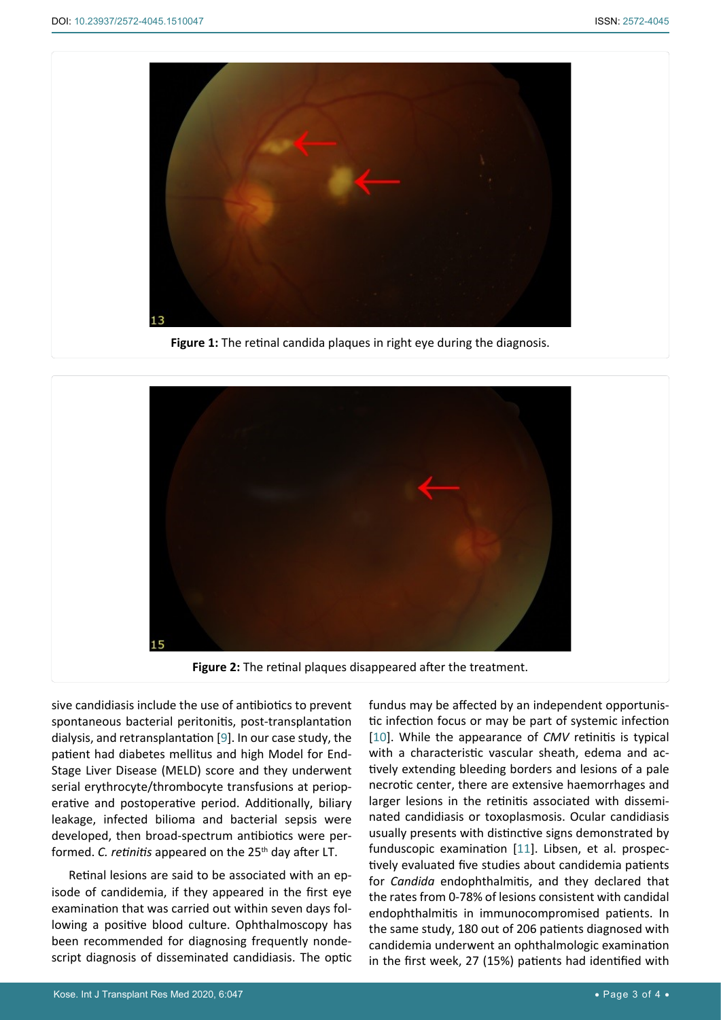<span id="page-2-0"></span>

**Figure 1:** The retinal candida plaques in right eye during the diagnosis.

<span id="page-2-1"></span>

sive candidiasis include the use of antibiotics to prevent spontaneous bacterial peritonitis, post-transplantation dialysis, and retransplantation [\[9\]](#page-3-10). In our case study, the patient had diabetes mellitus and high Model for End-Stage Liver Disease (MELD) score and they underwent serial erythrocyte/thrombocyte transfusions at perioperative and postoperative period. Additionally, biliary leakage, infected bilioma and bacterial sepsis were developed, then broad-spectrum antibiotics were performed. *C. retinitis* appeared on the 25<sup>th</sup> day after LT.

Retinal lesions are said to be associated with an episode of candidemia, if they appeared in the first eye examination that was carried out within seven days following a positive blood culture. Ophthalmoscopy has been recommended for diagnosing frequently nondescript diagnosis of disseminated candidiasis. The optic fundus may be affected by an independent opportunistic infection focus or may be part of systemic infection [\[10](#page-3-8)]. While the appearance of *CMV* retinitis is typical with a characteristic vascular sheath, edema and actively extending bleeding borders and lesions of a pale necrotic center, there are extensive haemorrhages and larger lesions in the retinitis associated with disseminated candidiasis or toxoplasmosis. Ocular candidiasis usually presents with distinctive signs demonstrated by funduscopic examination [\[11](#page-3-9)]. Libsen, et al. prospectively evaluated five studies about candidemia patients for *Candida* endophthalmitis, and they declared that the rates from 0-78% of lesions consistent with candidal endophthalmitis in immunocompromised patients. In the same study, 180 out of 206 patients diagnosed with candidemia underwent an ophthalmologic examination in the first week, 27 (15%) patients had identified with